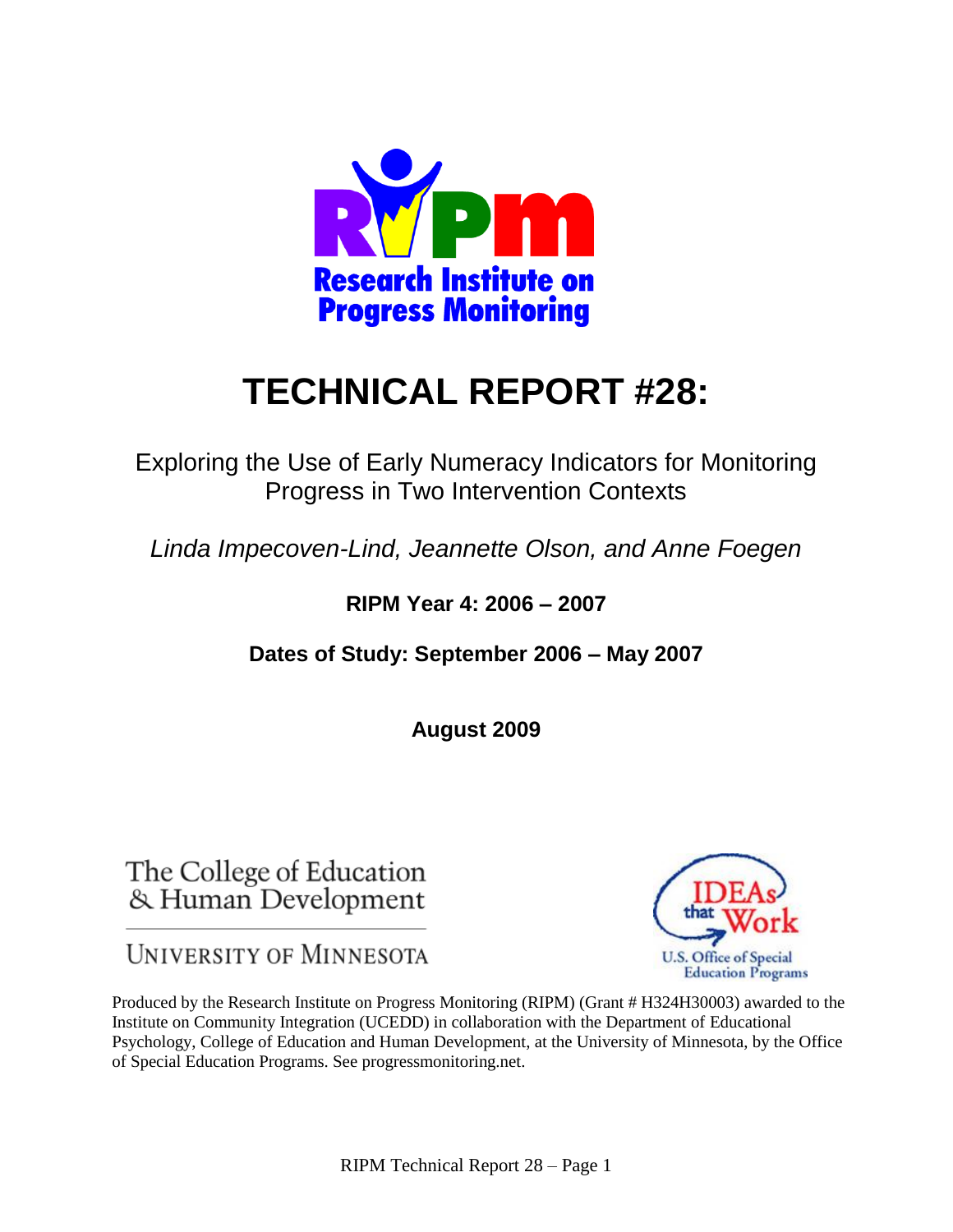

# **TECHNICAL REPORT #28:**

Exploring the Use of Early Numeracy Indicators for Monitoring Progress in Two Intervention Contexts

*Linda Impecoven-Lind, Jeannette Olson, and Anne Foegen*

# **RIPM Year 4: 2006 – 2007**

**Dates of Study: September 2006 – May 2007** 

**August 2009**

The College of Education & Human Development

**UNIVERSITY OF MINNESOTA** 



Produced by the Research Institute on Progress Monitoring (RIPM) (Grant # H324H30003) awarded to the Institute on Community Integration (UCEDD) in collaboration with the Department of Educational Psychology, College of Education and Human Development, at the University of Minnesota, by the Office of Special Education Programs. See progressmonitoring.net.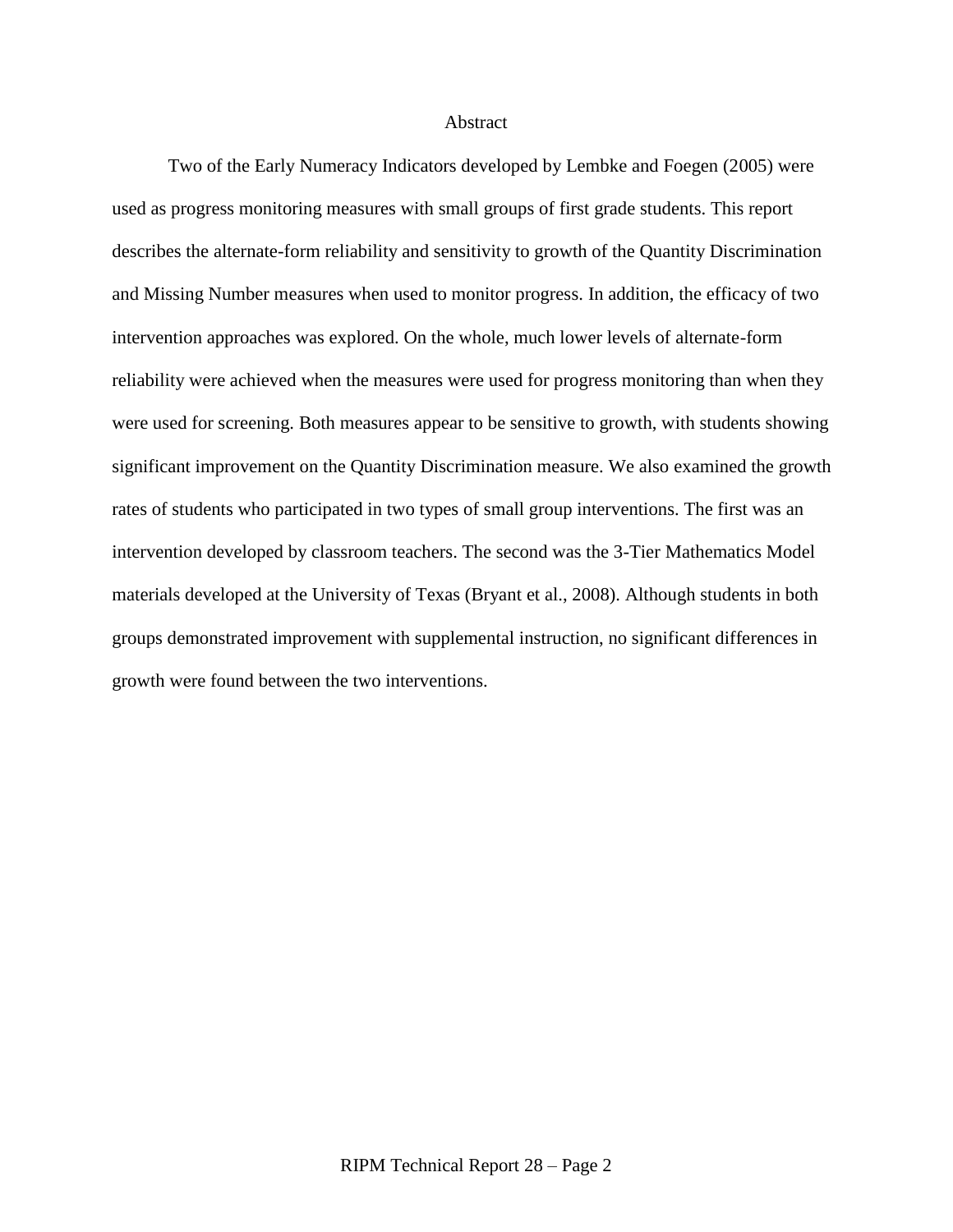### Abstract

Two of the Early Numeracy Indicators developed by Lembke and Foegen (2005) were used as progress monitoring measures with small groups of first grade students. This report describes the alternate-form reliability and sensitivity to growth of the Quantity Discrimination and Missing Number measures when used to monitor progress. In addition, the efficacy of two intervention approaches was explored. On the whole, much lower levels of alternate-form reliability were achieved when the measures were used for progress monitoring than when they were used for screening. Both measures appear to be sensitive to growth, with students showing significant improvement on the Quantity Discrimination measure. We also examined the growth rates of students who participated in two types of small group interventions. The first was an intervention developed by classroom teachers. The second was the 3-Tier Mathematics Model materials developed at the University of Texas (Bryant et al., 2008). Although students in both groups demonstrated improvement with supplemental instruction, no significant differences in growth were found between the two interventions.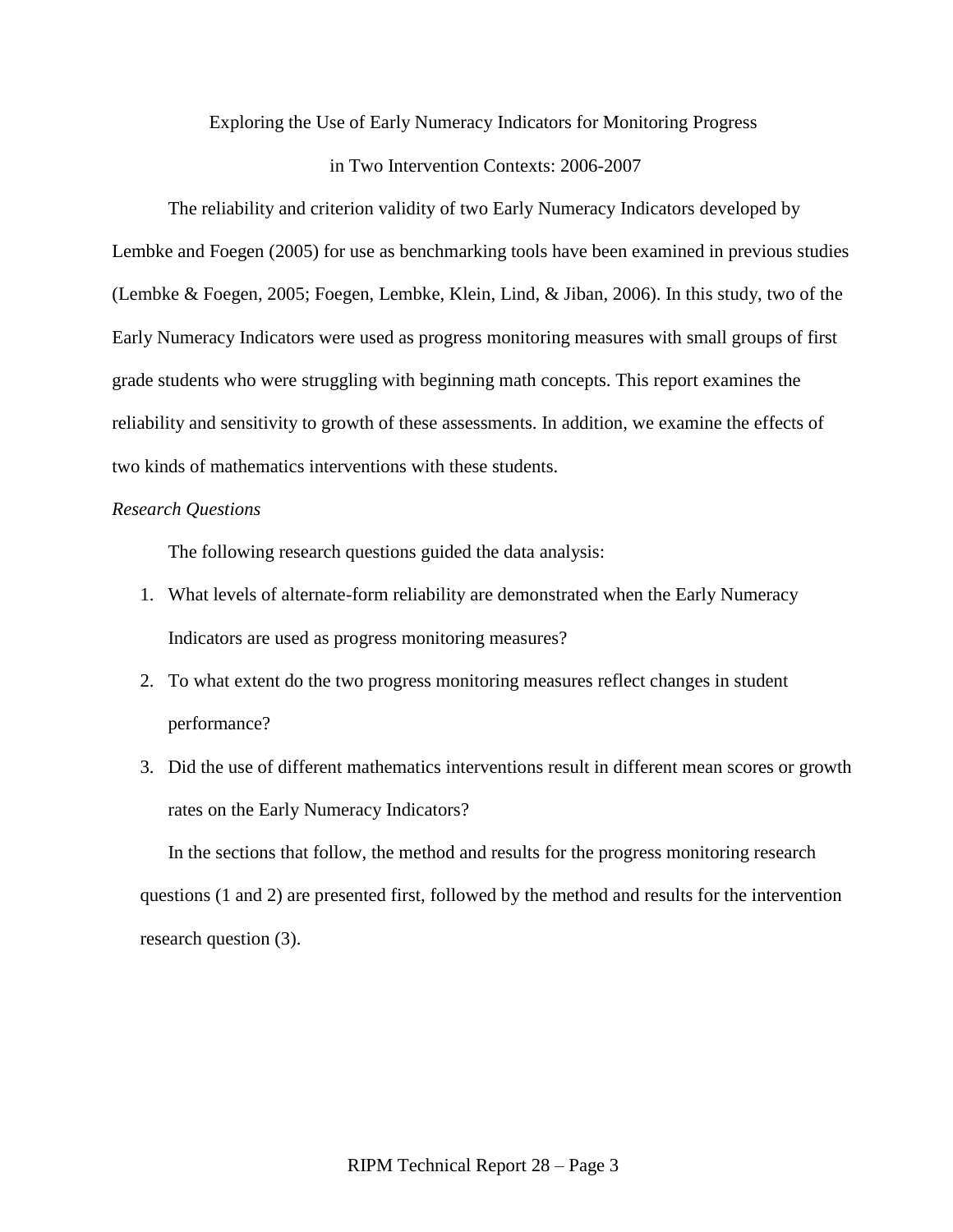# Exploring the Use of Early Numeracy Indicators for Monitoring Progress

### in Two Intervention Contexts: 2006-2007

The reliability and criterion validity of two Early Numeracy Indicators developed by Lembke and Foegen (2005) for use as benchmarking tools have been examined in previous studies (Lembke & Foegen, 2005; Foegen, Lembke, Klein, Lind, & Jiban, 2006). In this study, two of the Early Numeracy Indicators were used as progress monitoring measures with small groups of first grade students who were struggling with beginning math concepts. This report examines the reliability and sensitivity to growth of these assessments. In addition, we examine the effects of two kinds of mathematics interventions with these students.

# *Research Questions*

The following research questions guided the data analysis:

- 1. What levels of alternate-form reliability are demonstrated when the Early Numeracy Indicators are used as progress monitoring measures?
- 2. To what extent do the two progress monitoring measures reflect changes in student performance?
- 3. Did the use of different mathematics interventions result in different mean scores or growth rates on the Early Numeracy Indicators?

In the sections that follow, the method and results for the progress monitoring research questions (1 and 2) are presented first, followed by the method and results for the intervention research question (3).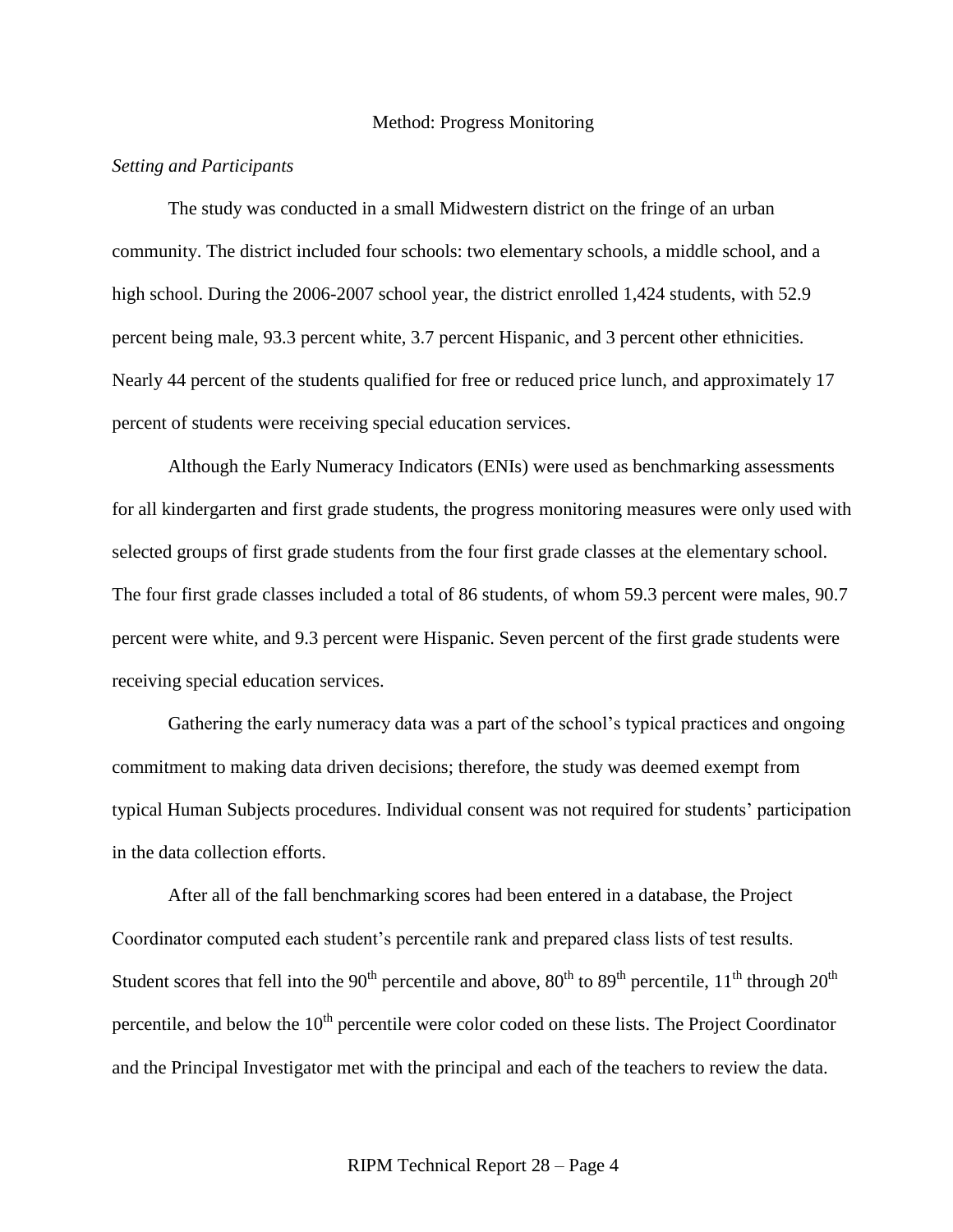### Method: Progress Monitoring

### *Setting and Participants*

The study was conducted in a small Midwestern district on the fringe of an urban community. The district included four schools: two elementary schools, a middle school, and a high school. During the 2006-2007 school year, the district enrolled 1,424 students, with 52.9 percent being male, 93.3 percent white, 3.7 percent Hispanic, and 3 percent other ethnicities. Nearly 44 percent of the students qualified for free or reduced price lunch, and approximately 17 percent of students were receiving special education services.

Although the Early Numeracy Indicators (ENIs) were used as benchmarking assessments for all kindergarten and first grade students, the progress monitoring measures were only used with selected groups of first grade students from the four first grade classes at the elementary school. The four first grade classes included a total of 86 students, of whom 59.3 percent were males, 90.7 percent were white, and 9.3 percent were Hispanic. Seven percent of the first grade students were receiving special education services.

Gathering the early numeracy data was a part of the school's typical practices and ongoing commitment to making data driven decisions; therefore, the study was deemed exempt from typical Human Subjects procedures. Individual consent was not required for students' participation in the data collection efforts.

After all of the fall benchmarking scores had been entered in a database, the Project Coordinator computed each student's percentile rank and prepared class lists of test results. Student scores that fell into the 90<sup>th</sup> percentile and above, 80<sup>th</sup> to 89<sup>th</sup> percentile, 11<sup>th</sup> through 20<sup>th</sup> percentile, and below the  $10<sup>th</sup>$  percentile were color coded on these lists. The Project Coordinator and the Principal Investigator met with the principal and each of the teachers to review the data.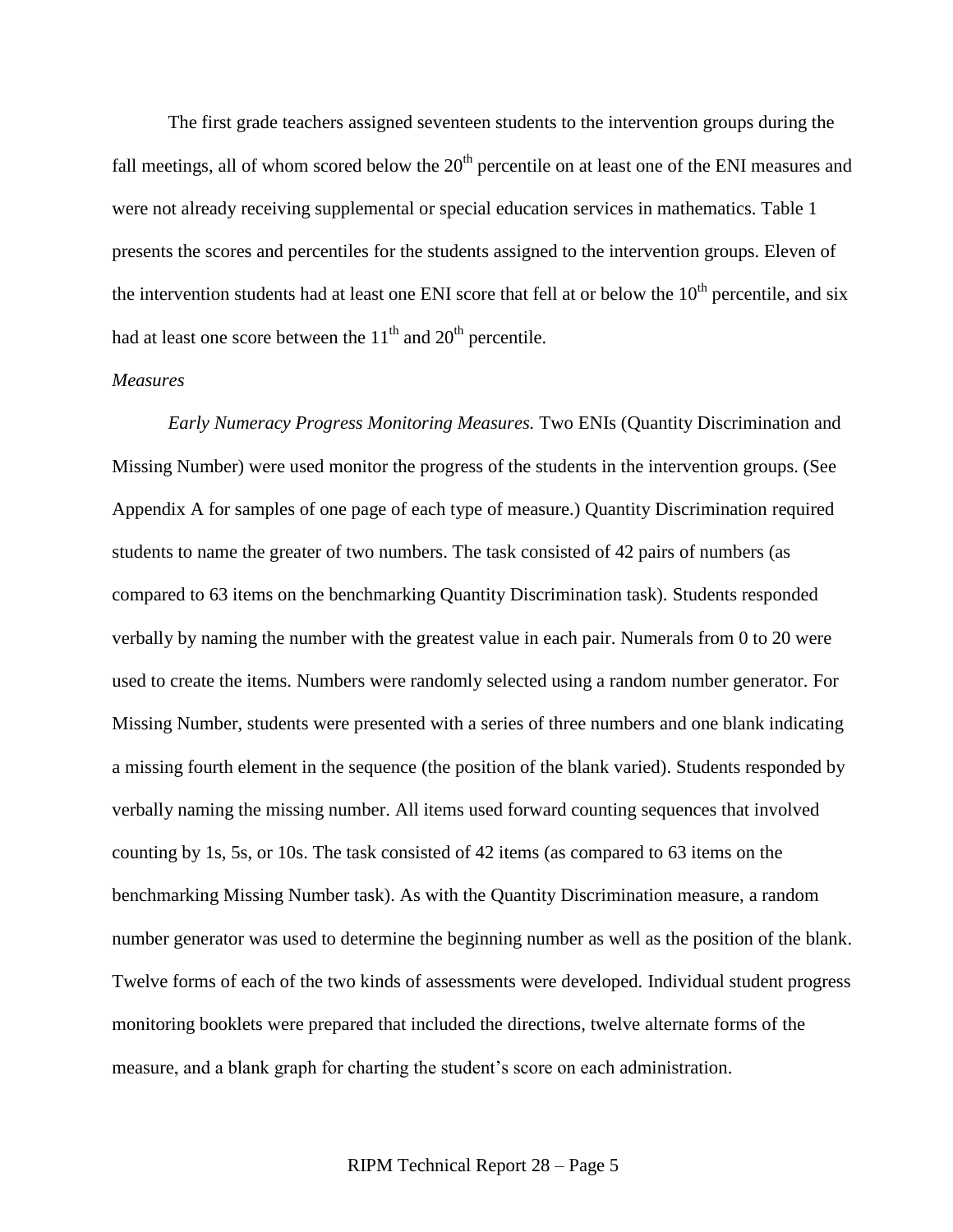The first grade teachers assigned seventeen students to the intervention groups during the fall meetings, all of whom scored below the  $20<sup>th</sup>$  percentile on at least one of the ENI measures and were not already receiving supplemental or special education services in mathematics. Table 1 presents the scores and percentiles for the students assigned to the intervention groups. Eleven of the intervention students had at least one ENI score that fell at or below the  $10<sup>th</sup>$  percentile, and six had at least one score between the  $11<sup>th</sup>$  and  $20<sup>th</sup>$  percentile.

### *Measures*

*Early Numeracy Progress Monitoring Measures.* Two ENIs (Quantity Discrimination and Missing Number) were used monitor the progress of the students in the intervention groups. (See Appendix A for samples of one page of each type of measure.) Quantity Discrimination required students to name the greater of two numbers. The task consisted of 42 pairs of numbers (as compared to 63 items on the benchmarking Quantity Discrimination task). Students responded verbally by naming the number with the greatest value in each pair. Numerals from 0 to 20 were used to create the items. Numbers were randomly selected using a random number generator. For Missing Number, students were presented with a series of three numbers and one blank indicating a missing fourth element in the sequence (the position of the blank varied). Students responded by verbally naming the missing number. All items used forward counting sequences that involved counting by 1s, 5s, or 10s. The task consisted of 42 items (as compared to 63 items on the benchmarking Missing Number task). As with the Quantity Discrimination measure, a random number generator was used to determine the beginning number as well as the position of the blank. Twelve forms of each of the two kinds of assessments were developed. Individual student progress monitoring booklets were prepared that included the directions, twelve alternate forms of the measure, and a blank graph for charting the student's score on each administration.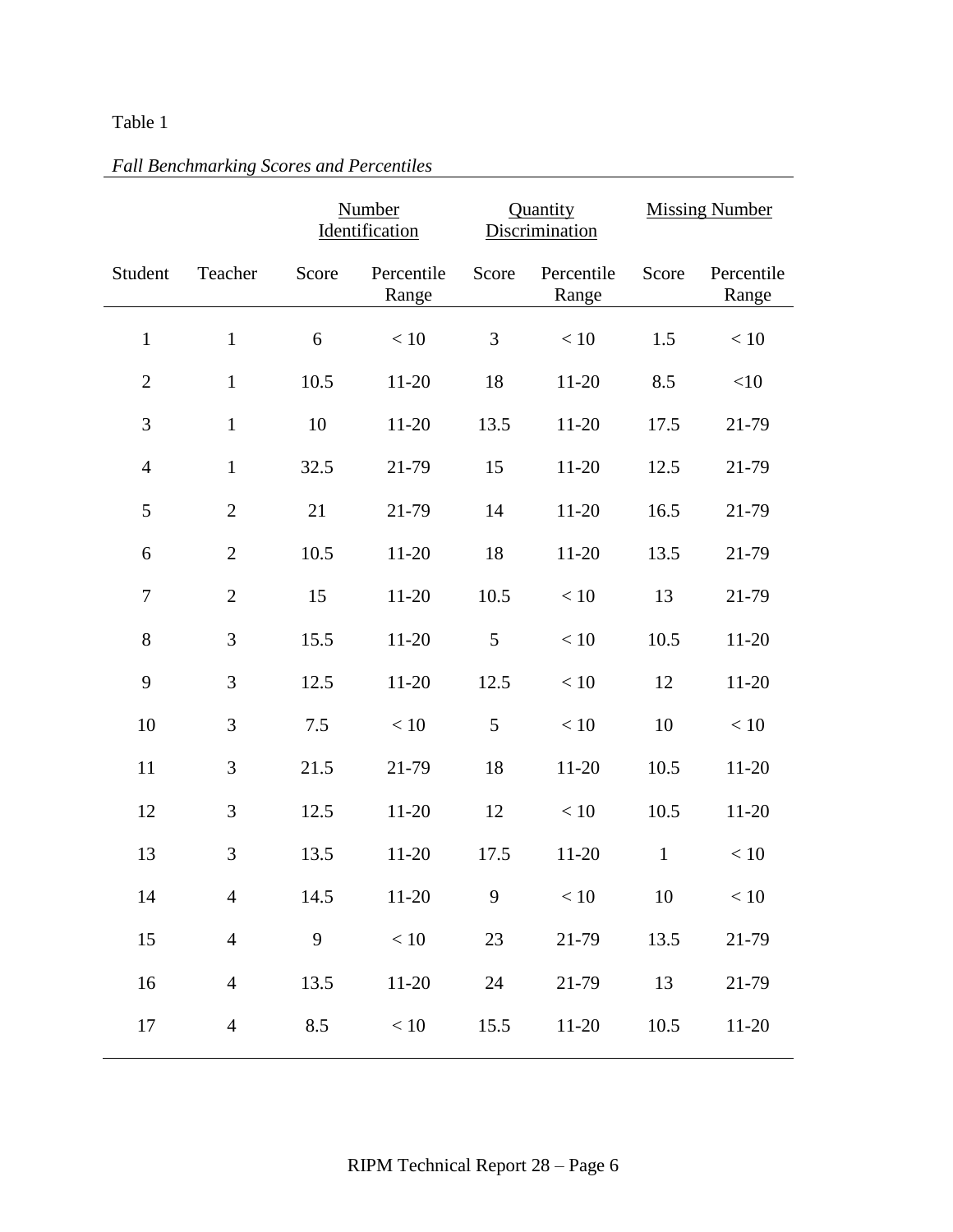# Table 1

|                  |                | <b>Number</b><br>Identification |                     |       | Quantity<br>Discrimination | <b>Missing Number</b> |                     |  |
|------------------|----------------|---------------------------------|---------------------|-------|----------------------------|-----------------------|---------------------|--|
| Student          | Teacher        | Score                           | Percentile<br>Range | Score | Percentile<br>Range        | Score                 | Percentile<br>Range |  |
| $\mathbf{1}$     | $\mathbf{1}$   | 6                               | < 10                | 3     | $<10\,$                    | 1.5                   | < 10                |  |
| $\overline{2}$   | $\mathbf{1}$   | 10.5                            | $11 - 20$           | 18    | $11 - 20$                  | 8.5                   | $<\!\!10$           |  |
| 3                | $\mathbf{1}$   | 10                              | $11 - 20$           | 13.5  | $11 - 20$                  | 17.5                  | 21-79               |  |
| $\overline{4}$   | $\mathbf{1}$   | 32.5                            | 21-79               | 15    | $11 - 20$                  | 12.5                  | 21-79               |  |
| 5                | $\overline{2}$ | 21                              | 21-79               | 14    | $11 - 20$                  | 16.5                  | 21-79               |  |
| 6                | $\overline{2}$ | 10.5                            | $11 - 20$           | 18    | $11 - 20$                  | 13.5                  | 21-79               |  |
| $\boldsymbol{7}$ | $\mathbf{2}$   | 15                              | $11 - 20$           | 10.5  | $<10\,$                    | 13                    | 21-79               |  |
| 8                | 3              | 15.5                            | $11 - 20$           | 5     | $<10$                      | 10.5                  | $11 - 20$           |  |
| 9                | 3              | 12.5                            | $11 - 20$           | 12.5  | < 10                       | 12                    | $11 - 20$           |  |
| 10               | 3              | 7.5                             | $<10$               | 5     | $<10$                      | 10                    | < 10                |  |
| 11               | 3              | 21.5                            | 21-79               | 18    | $11 - 20$                  | 10.5                  | $11 - 20$           |  |
| 12               | 3              | 12.5                            | $11-20$             | 12    | < 10                       | 10.5                  | $11 - 20$           |  |
| 13               | 3              | 13.5                            | $11-20$             | 17.5  | $11-20$                    | $\mathbf{1}$          | < 10                |  |
| 14               | $\overline{4}$ | 14.5                            | $11 - 20$           | 9     | $<10\,$                    | 10                    | $<10$               |  |
| 15               | $\overline{4}$ | 9                               | $<10\,$             | 23    | 21-79                      | 13.5                  | 21-79               |  |
| 16               | $\overline{4}$ | 13.5                            | $11 - 20$           | 24    | 21-79                      | 13                    | 21-79               |  |
| 17               | $\overline{4}$ | 8.5                             | $<10\,$             | 15.5  | $11 - 20$                  | 10.5                  | $11 - 20$           |  |

# *Fall Benchmarking Scores and Percentiles*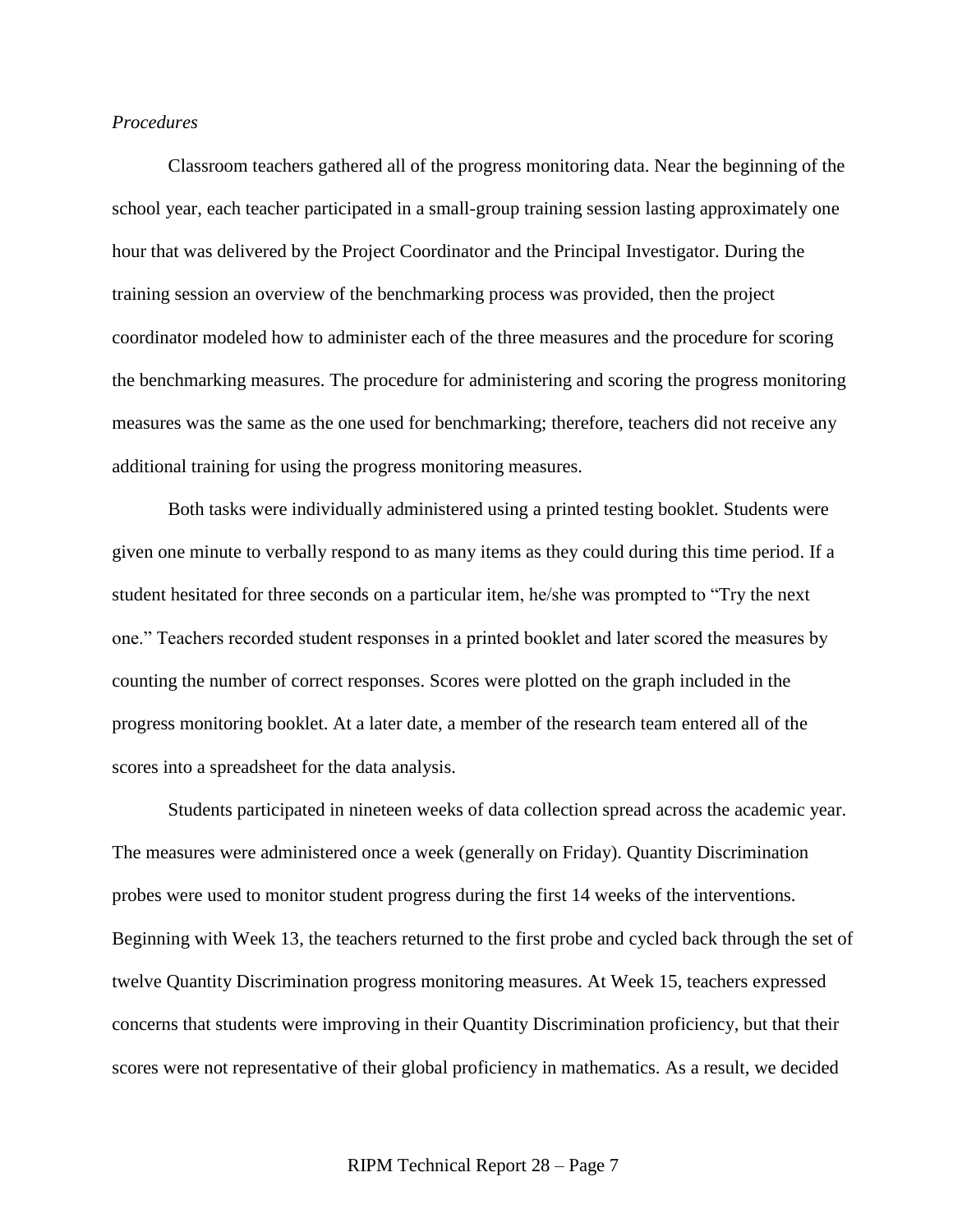# *Procedures*

Classroom teachers gathered all of the progress monitoring data. Near the beginning of the school year, each teacher participated in a small-group training session lasting approximately one hour that was delivered by the Project Coordinator and the Principal Investigator. During the training session an overview of the benchmarking process was provided, then the project coordinator modeled how to administer each of the three measures and the procedure for scoring the benchmarking measures. The procedure for administering and scoring the progress monitoring measures was the same as the one used for benchmarking; therefore, teachers did not receive any additional training for using the progress monitoring measures.

Both tasks were individually administered using a printed testing booklet. Students were given one minute to verbally respond to as many items as they could during this time period. If a student hesitated for three seconds on a particular item, he/she was prompted to "Try the next" one." Teachers recorded student responses in a printed booklet and later scored the measures by counting the number of correct responses. Scores were plotted on the graph included in the progress monitoring booklet. At a later date, a member of the research team entered all of the scores into a spreadsheet for the data analysis.

Students participated in nineteen weeks of data collection spread across the academic year. The measures were administered once a week (generally on Friday). Quantity Discrimination probes were used to monitor student progress during the first 14 weeks of the interventions. Beginning with Week 13, the teachers returned to the first probe and cycled back through the set of twelve Quantity Discrimination progress monitoring measures. At Week 15, teachers expressed concerns that students were improving in their Quantity Discrimination proficiency, but that their scores were not representative of their global proficiency in mathematics. As a result, we decided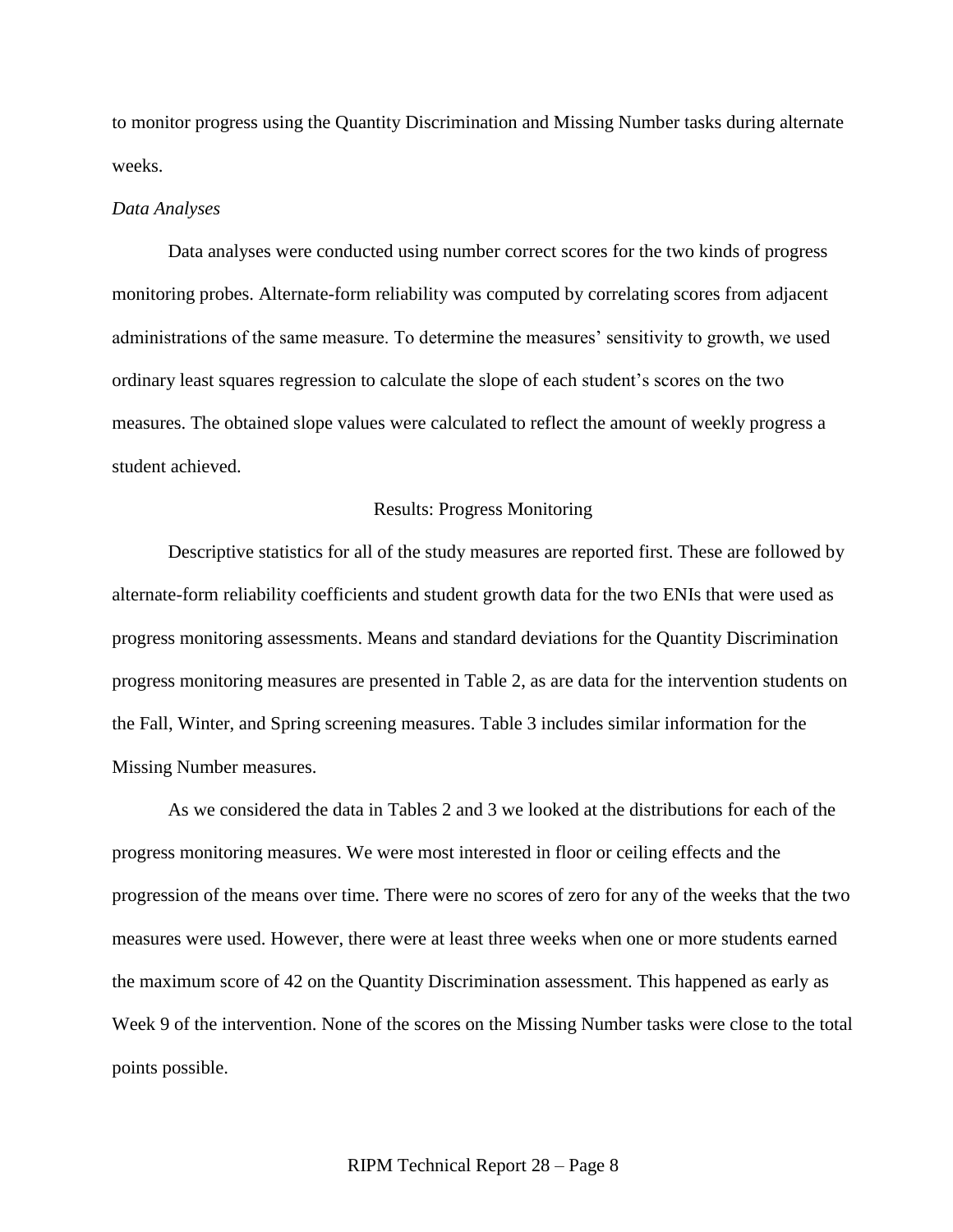to monitor progress using the Quantity Discrimination and Missing Number tasks during alternate weeks.

#### *Data Analyses*

Data analyses were conducted using number correct scores for the two kinds of progress monitoring probes. Alternate-form reliability was computed by correlating scores from adjacent administrations of the same measure. To determine the measures' sensitivity to growth, we used ordinary least squares regression to calculate the slope of each student's scores on the two measures. The obtained slope values were calculated to reflect the amount of weekly progress a student achieved.

#### Results: Progress Monitoring

Descriptive statistics for all of the study measures are reported first. These are followed by alternate-form reliability coefficients and student growth data for the two ENIs that were used as progress monitoring assessments. Means and standard deviations for the Quantity Discrimination progress monitoring measures are presented in Table 2, as are data for the intervention students on the Fall, Winter, and Spring screening measures. Table 3 includes similar information for the Missing Number measures.

As we considered the data in Tables 2 and 3 we looked at the distributions for each of the progress monitoring measures. We were most interested in floor or ceiling effects and the progression of the means over time. There were no scores of zero for any of the weeks that the two measures were used. However, there were at least three weeks when one or more students earned the maximum score of 42 on the Quantity Discrimination assessment. This happened as early as Week 9 of the intervention. None of the scores on the Missing Number tasks were close to the total points possible.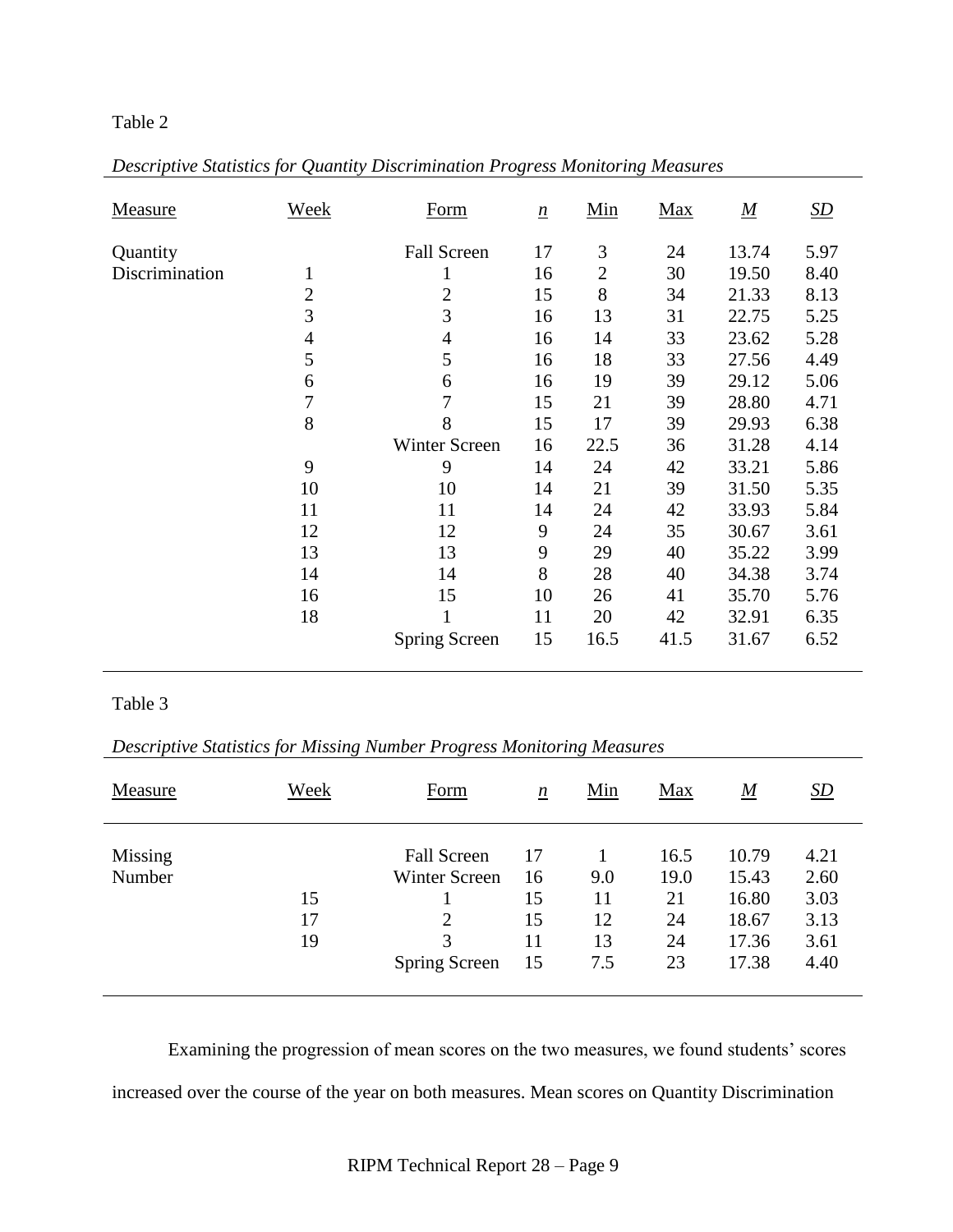# Table 2

| Measure        | Week           | Form                 | $\underline{n}$ | Min            | Max  | $\underline{M}$ | $\underline{SD}$ |
|----------------|----------------|----------------------|-----------------|----------------|------|-----------------|------------------|
| Quantity       |                | <b>Fall Screen</b>   | 17              | 3              | 24   | 13.74           | 5.97             |
| Discrimination | T              |                      | 16              | $\overline{2}$ | 30   | 19.50           | 8.40             |
|                | $\overline{2}$ | $\mathbf{2}$         | 15              | 8              | 34   | 21.33           | 8.13             |
|                | 3              | 3                    | 16              | 13             | 31   | 22.75           | 5.25             |
|                | $\overline{4}$ | $\overline{4}$       | 16              | 14             | 33   | 23.62           | 5.28             |
|                | 5              | 5                    | 16              | 18             | 33   | 27.56           | 4.49             |
|                | 6              | 6                    | 16              | 19             | 39   | 29.12           | 5.06             |
|                | 7              | 7                    | 15              | 21             | 39   | 28.80           | 4.71             |
|                | 8              | 8                    | 15              | 17             | 39   | 29.93           | 6.38             |
|                |                | <b>Winter Screen</b> | 16              | 22.5           | 36   | 31.28           | 4.14             |
|                | 9              | 9                    | 14              | 24             | 42   | 33.21           | 5.86             |
|                | 10             | 10                   | 14              | 21             | 39   | 31.50           | 5.35             |
|                | 11             | 11                   | 14              | 24             | 42   | 33.93           | 5.84             |
|                | 12             | 12                   | 9               | 24             | 35   | 30.67           | 3.61             |
|                | 13             | 13                   | 9               | 29             | 40   | 35.22           | 3.99             |
|                | 14             | 14                   | 8               | 28             | 40   | 34.38           | 3.74             |
|                | 16             | 15                   | 10              | 26             | 41   | 35.70           | 5.76             |
|                | 18             |                      | 11              | 20             | 42   | 32.91           | 6.35             |
|                |                | Spring Screen        | 15              | 16.5           | 41.5 | 31.67           | 6.52             |

| Descriptive Statistics for Quantity Discrimination Progress Monitoring Measures |  |  |  |  |  |  |  |  |  |  |  |  |  |
|---------------------------------------------------------------------------------|--|--|--|--|--|--|--|--|--|--|--|--|--|
|---------------------------------------------------------------------------------|--|--|--|--|--|--|--|--|--|--|--|--|--|

# Table 3

*Descriptive Statistics for Missing Number Progress Monitoring Measures*

| Measure           | Week           | Form                                                                               | $\underline{n}$                  | Min                          | Max                                  | $\underline{M}$                                    | <u>SD</u>                                    |
|-------------------|----------------|------------------------------------------------------------------------------------|----------------------------------|------------------------------|--------------------------------------|----------------------------------------------------|----------------------------------------------|
| Missing<br>Number | 15<br>17<br>19 | <b>Fall Screen</b><br><b>Winter Screen</b><br>$\overline{2}$<br>3<br>Spring Screen | 17<br>16<br>15<br>15<br>11<br>15 | 9.0<br>11<br>12<br>13<br>7.5 | 16.5<br>19.0<br>21<br>24<br>24<br>23 | 10.79<br>15.43<br>16.80<br>18.67<br>17.36<br>17.38 | 4.21<br>2.60<br>3.03<br>3.13<br>3.61<br>4.40 |

Examining the progression of mean scores on the two measures, we found students' scores increased over the course of the year on both measures. Mean scores on Quantity Discrimination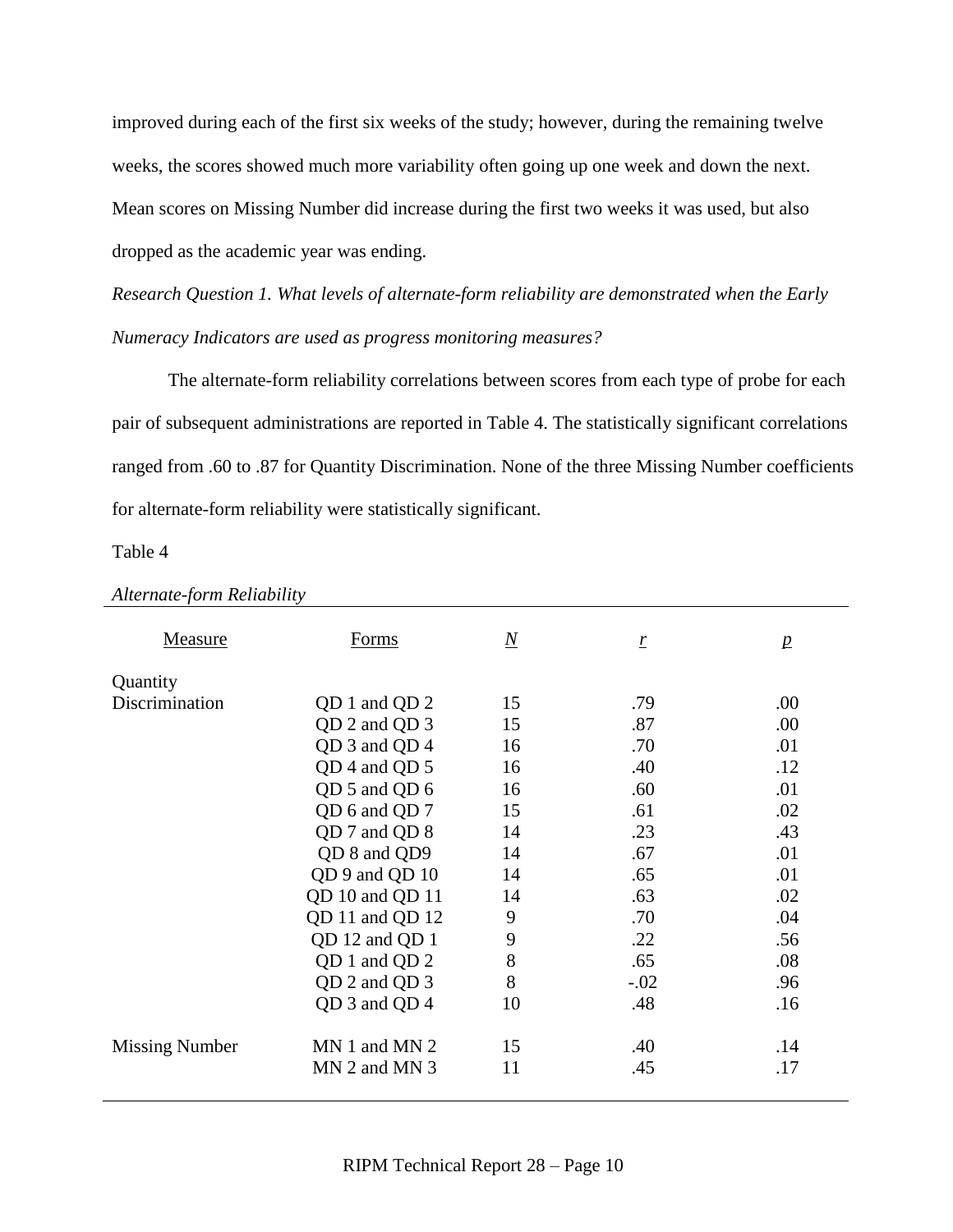improved during each of the first six weeks of the study; however, during the remaining twelve weeks, the scores showed much more variability often going up one week and down the next. Mean scores on Missing Number did increase during the first two weeks it was used, but also dropped as the academic year was ending.

*Research Question 1. What levels of alternate-form reliability are demonstrated when the Early Numeracy Indicators are used as progress monitoring measures?*

The alternate-form reliability correlations between scores from each type of probe for each pair of subsequent administrations are reported in Table 4. The statistically significant correlations ranged from .60 to .87 for Quantity Discrimination. None of the three Missing Number coefficients for alternate-form reliability were statistically significant.

Table 4

| Measure               | Forms             | $\overline{N}$ | $\underline{r}$ | $\mathbf{p}$ |
|-----------------------|-------------------|----------------|-----------------|--------------|
| Quantity              |                   |                |                 |              |
| Discrimination        | QD 1 and QD 2     | 15             | .79             | .00          |
|                       | QD 2 and QD 3     | 15             | .87             | .00          |
|                       | QD 3 and QD 4     | 16             | .70             | .01          |
|                       | QD 4 and QD 5     | 16             | .40             | .12          |
|                       | QD 5 and QD 6     | 16             | .60             | .01          |
|                       | QD 6 and QD 7     | 15             | .61             | .02          |
|                       | QD 7 and QD 8     | 14             | .23             | .43          |
|                       | QD 8 and QD9      | 14             | .67             | .01          |
|                       | QD 9 and QD 10    | 14             | .65             | .01          |
|                       | QD 10 and QD 11   | 14             | .63             | .02          |
|                       | QD 11 and QD 12   | 9              | .70             | .04          |
|                       | QD 12 and QD 1    | 9              | .22             | .56          |
|                       | QD 1 and QD 2     | 8              | .65             | .08          |
|                       | QD 2 and QD 3     | 8              | $-.02$          | .96          |
|                       | QD 3 and QD 4     | 10             | .48             | .16          |
| <b>Missing Number</b> | $MN 1$ and $MN 2$ | 15             | .40             | .14          |
|                       | $MN$ 2 and $MN$ 3 | 11             | .45             | .17          |

### *Alternate-form Reliability*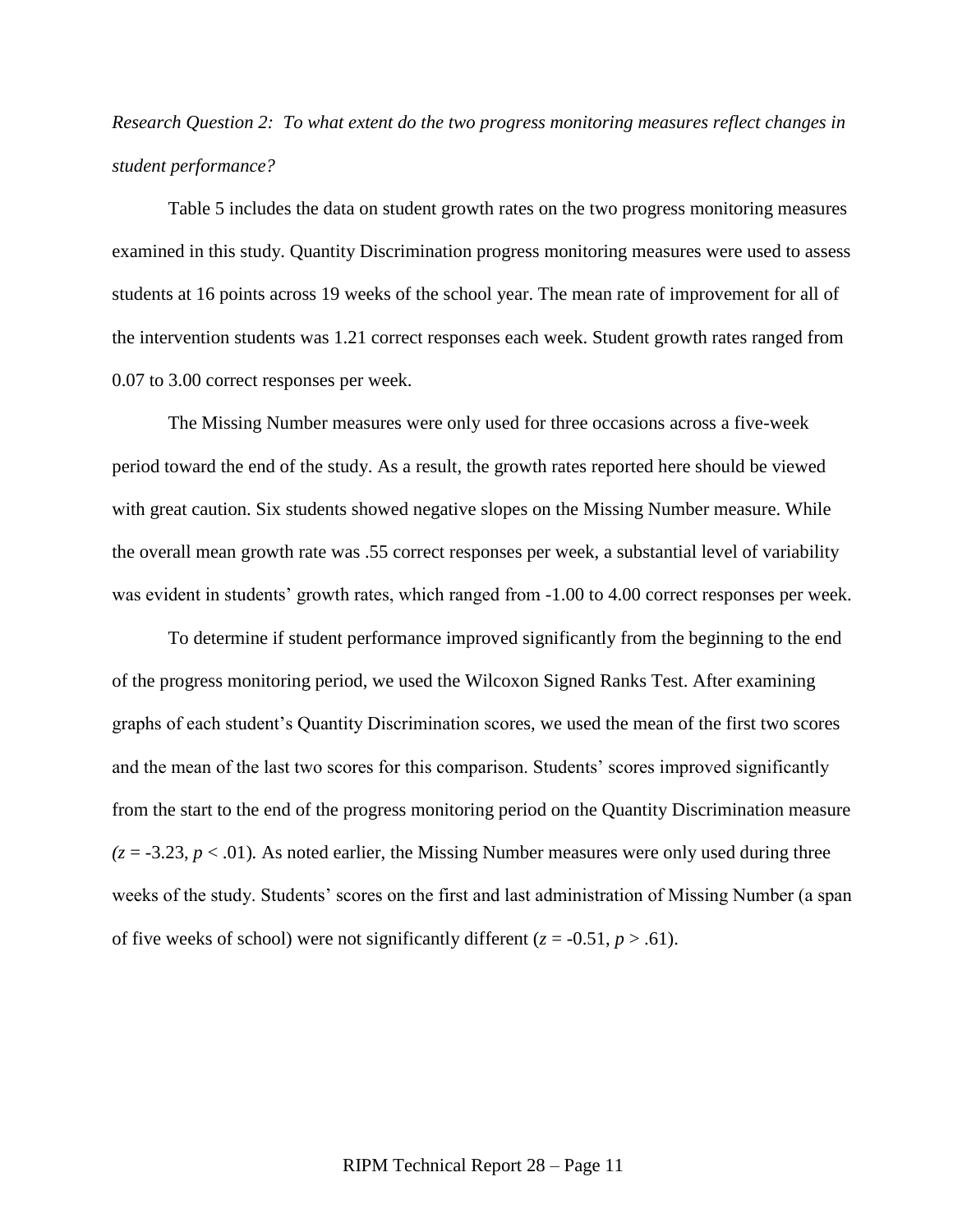*Research Question 2: To what extent do the two progress monitoring measures reflect changes in student performance?*

Table 5 includes the data on student growth rates on the two progress monitoring measures examined in this study. Quantity Discrimination progress monitoring measures were used to assess students at 16 points across 19 weeks of the school year. The mean rate of improvement for all of the intervention students was 1.21 correct responses each week. Student growth rates ranged from 0.07 to 3.00 correct responses per week.

The Missing Number measures were only used for three occasions across a five-week period toward the end of the study. As a result, the growth rates reported here should be viewed with great caution. Six students showed negative slopes on the Missing Number measure. While the overall mean growth rate was .55 correct responses per week, a substantial level of variability was evident in students' growth rates, which ranged from  $-1.00$  to 4.00 correct responses per week.

To determine if student performance improved significantly from the beginning to the end of the progress monitoring period, we used the Wilcoxon Signed Ranks Test. After examining graphs of each student's Quantity Discrimination scores, we used the mean of the first two scores and the mean of the last two scores for this comparison. Students' scores improved significantly from the start to the end of the progress monitoring period on the Quantity Discrimination measure  $(z = -3.23, p < .01)$ . As noted earlier, the Missing Number measures were only used during three weeks of the study. Students' scores on the first and last administration of Missing Number (a span of five weeks of school) were not significantly different  $(z = -0.51, p > .61)$ .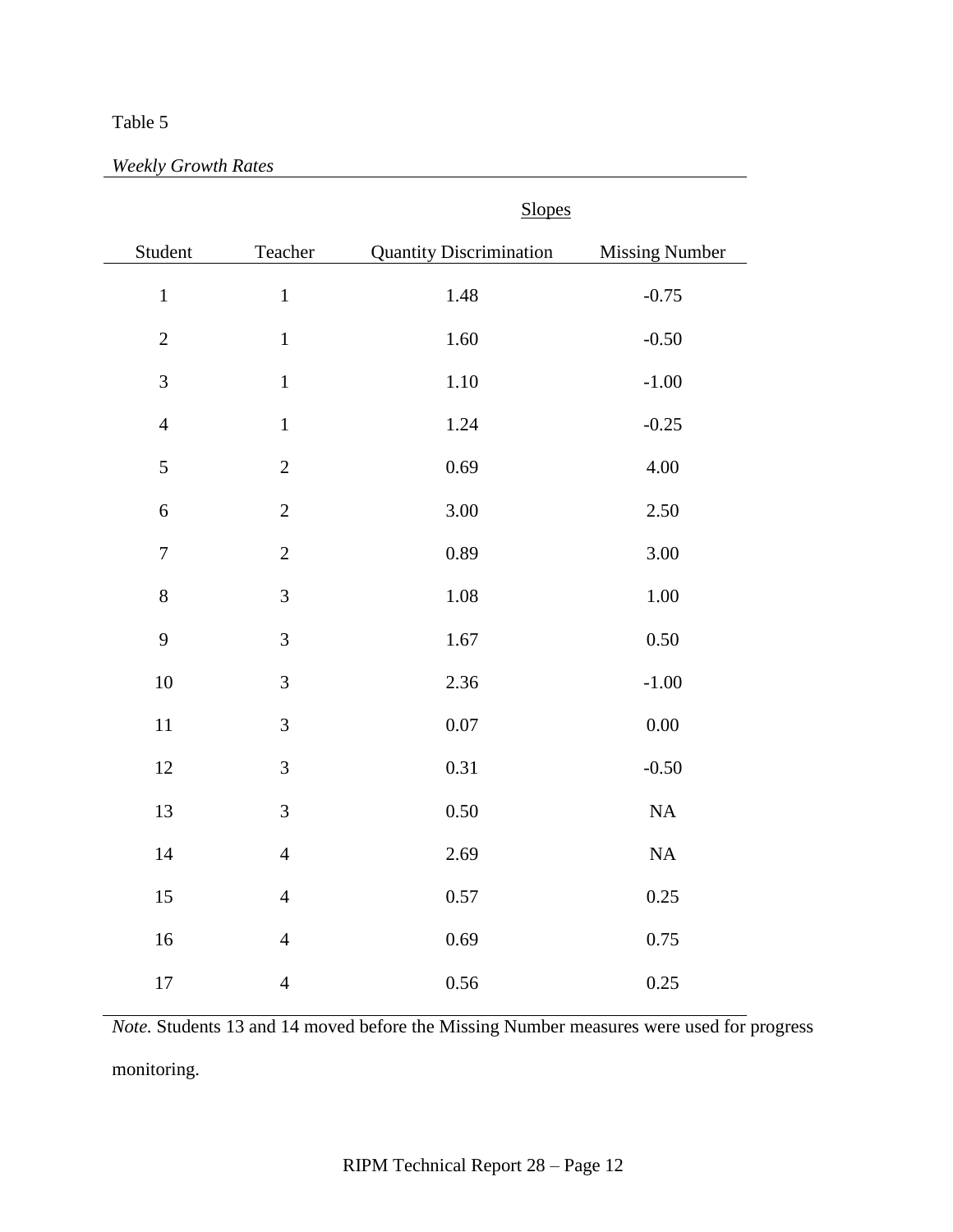# Table 5

|                  |                | <b>Slopes</b>                  |                       |
|------------------|----------------|--------------------------------|-----------------------|
| Student          | Teacher        | <b>Quantity Discrimination</b> | <b>Missing Number</b> |
| $\mathbf 1$      | $\mathbf 1$    | 1.48                           | $-0.75$               |
| $\overline{2}$   | $\mathbf 1$    | 1.60                           | $-0.50$               |
| $\overline{3}$   | $\,1\,$        | 1.10                           | $-1.00$               |
| $\overline{4}$   | $\mathbf 1$    | 1.24                           | $-0.25$               |
| 5                | $\overline{2}$ | 0.69                           | 4.00                  |
| $\overline{6}$   | $\overline{2}$ | 3.00                           | 2.50                  |
| $\boldsymbol{7}$ | $\overline{2}$ | 0.89                           | 3.00                  |
| $\,8\,$          | $\overline{3}$ | 1.08                           | 1.00                  |
| 9                | 3              | 1.67                           | 0.50                  |
| 10               | $\mathfrak{Z}$ | 2.36                           | $-1.00$               |
| 11               | 3              | 0.07                           | 0.00                  |
| 12               | $\overline{3}$ | 0.31                           | $-0.50$               |
| 13               | 3              | 0.50                           | NA                    |
| 14               | $\overline{4}$ | 2.69                           | NA                    |
| 15               | $\overline{4}$ | 0.57                           | 0.25                  |
| 16               | $\overline{4}$ | 0.69                           | 0.75                  |
| 17               | $\overline{4}$ | 0.56                           | 0.25                  |

*Note.* Students 13 and 14 moved before the Missing Number measures were used for progress monitoring.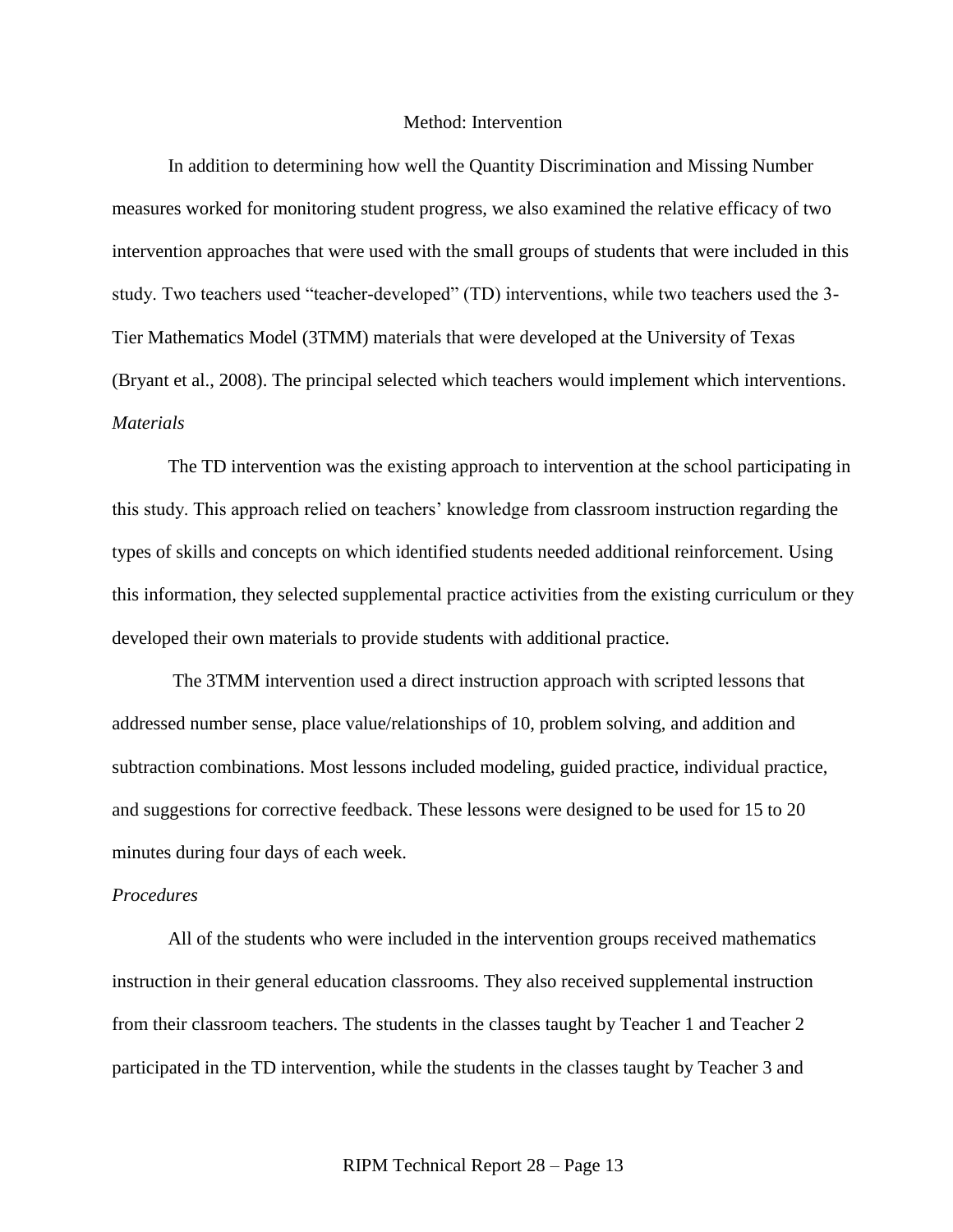#### Method: Intervention

In addition to determining how well the Quantity Discrimination and Missing Number measures worked for monitoring student progress, we also examined the relative efficacy of two intervention approaches that were used with the small groups of students that were included in this study. Two teachers used "teacher-developed" (TD) interventions, while two teachers used the 3-Tier Mathematics Model (3TMM) materials that were developed at the University of Texas (Bryant et al., 2008). The principal selected which teachers would implement which interventions. *Materials*

The TD intervention was the existing approach to intervention at the school participating in this study. This approach relied on teachers' knowledge from classroom instruction regarding the types of skills and concepts on which identified students needed additional reinforcement. Using this information, they selected supplemental practice activities from the existing curriculum or they developed their own materials to provide students with additional practice.

The 3TMM intervention used a direct instruction approach with scripted lessons that addressed number sense, place value/relationships of 10, problem solving, and addition and subtraction combinations. Most lessons included modeling, guided practice, individual practice, and suggestions for corrective feedback. These lessons were designed to be used for 15 to 20 minutes during four days of each week.

# *Procedures*

All of the students who were included in the intervention groups received mathematics instruction in their general education classrooms. They also received supplemental instruction from their classroom teachers. The students in the classes taught by Teacher 1 and Teacher 2 participated in the TD intervention, while the students in the classes taught by Teacher 3 and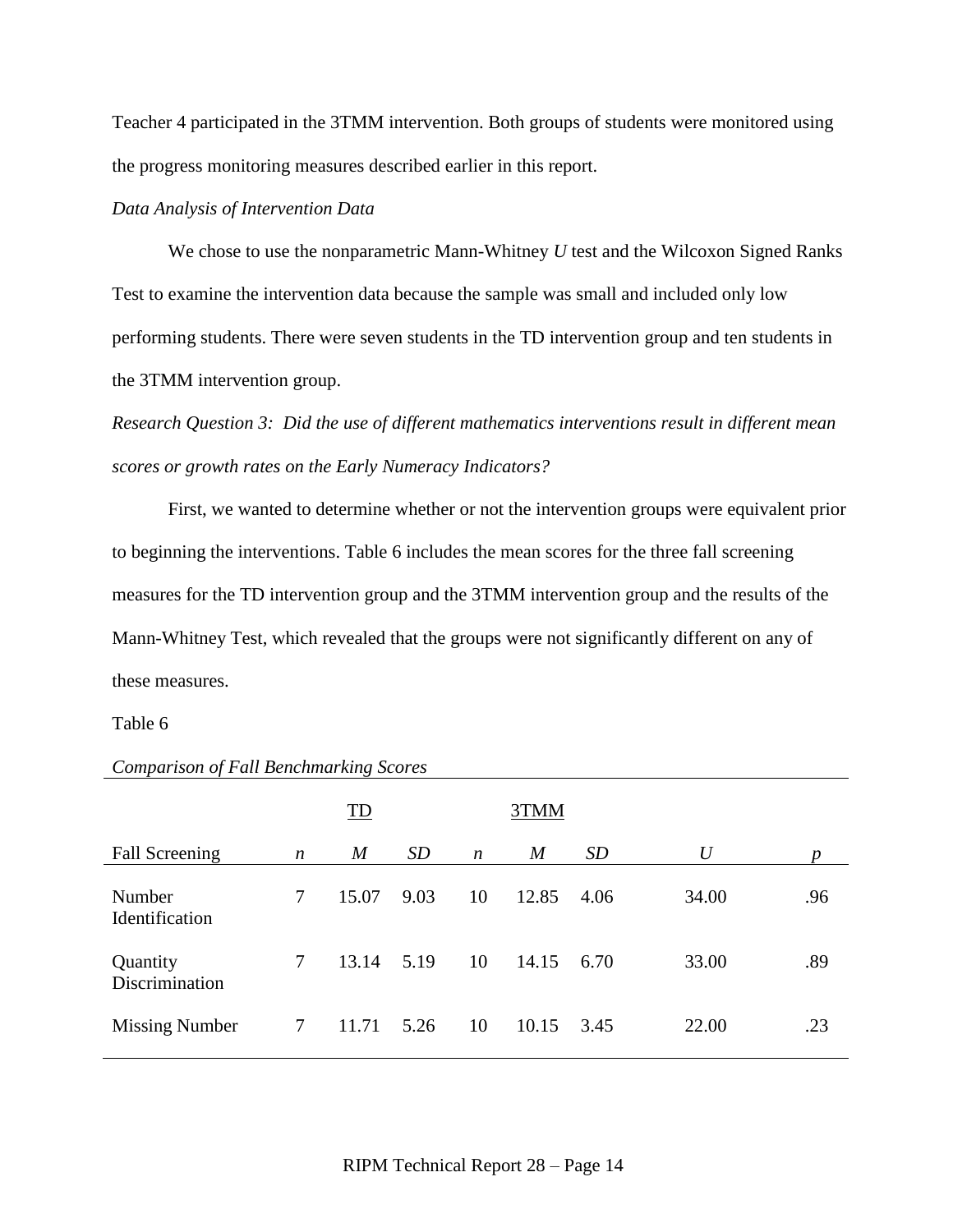Teacher 4 participated in the 3TMM intervention. Both groups of students were monitored using the progress monitoring measures described earlier in this report.

# *Data Analysis of Intervention Data*

We chose to use the nonparametric Mann-Whitney *U* test and the Wilcoxon Signed Ranks Test to examine the intervention data because the sample was small and included only low performing students. There were seven students in the TD intervention group and ten students in the 3TMM intervention group.

*Research Question 3: Did the use of different mathematics interventions result in different mean scores or growth rates on the Early Numeracy Indicators?*

First, we wanted to determine whether or not the intervention groups were equivalent prior to beginning the interventions. Table 6 includes the mean scores for the three fall screening measures for the TD intervention group and the 3TMM intervention group and the results of the Mann-Whitney Test, which revealed that the groups were not significantly different on any of these measures.

### Table 6

|                            |                  | ID               |      |                  | 3TMM             |      |       |     |
|----------------------------|------------------|------------------|------|------------------|------------------|------|-------|-----|
| <b>Fall Screening</b>      | $\boldsymbol{n}$ | $\boldsymbol{M}$ | SD   | $\boldsymbol{n}$ | $\boldsymbol{M}$ | SD   | U     | n   |
| Number<br>Identification   | 7                | 15.07            | 9.03 | 10               | 12.85            | 4.06 | 34.00 | .96 |
| Quantity<br>Discrimination | 7                | 13.14            | 5.19 | 10               | 14.15            | 6.70 | 33.00 | .89 |
| <b>Missing Number</b>      | $\tau$           | 11.71            | 5.26 | 10               | 10.15            | 3.45 | 22.00 | .23 |

### *Comparison of Fall Benchmarking Scores*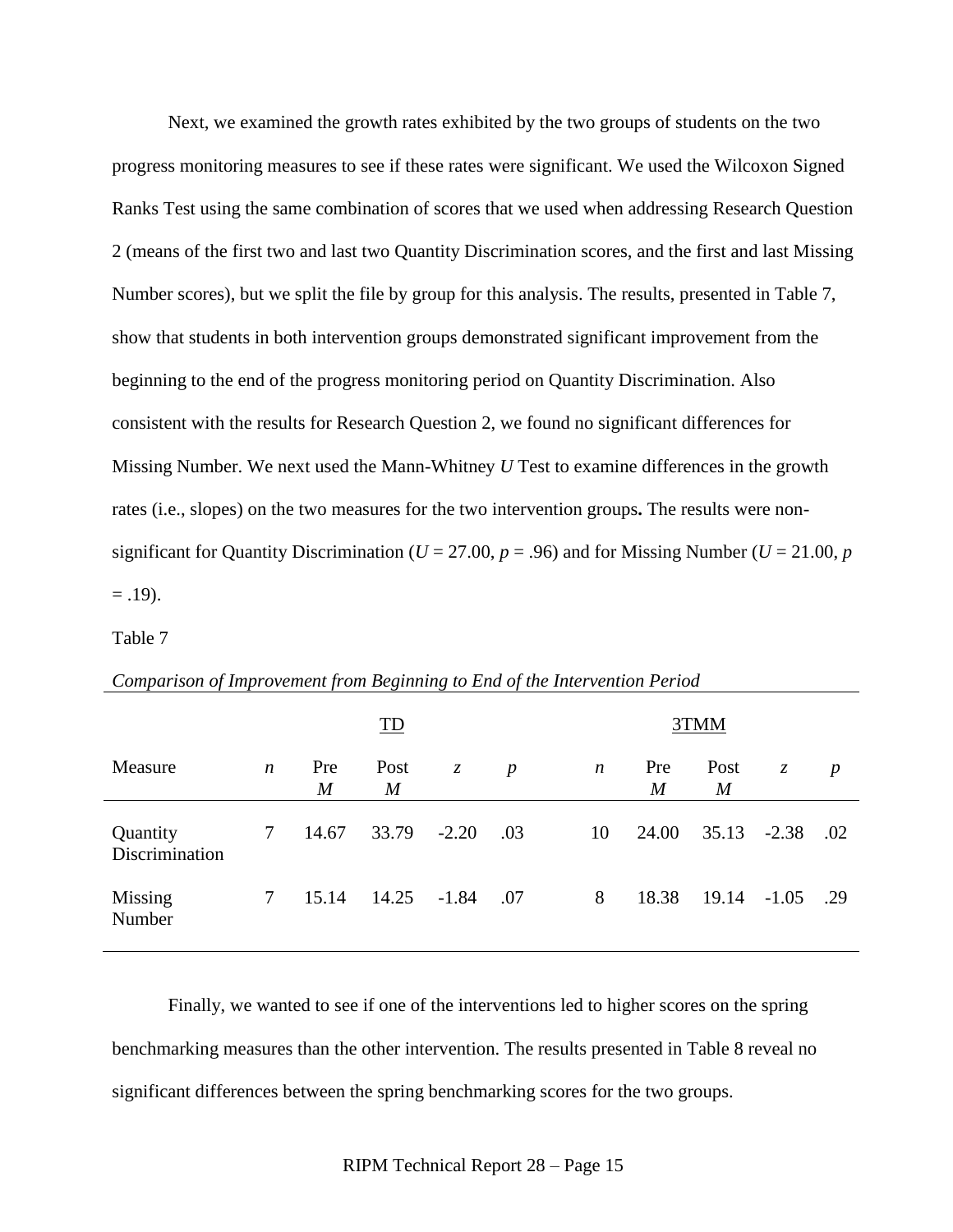Next, we examined the growth rates exhibited by the two groups of students on the two progress monitoring measures to see if these rates were significant. We used the Wilcoxon Signed Ranks Test using the same combination of scores that we used when addressing Research Question 2 (means of the first two and last two Quantity Discrimination scores, and the first and last Missing Number scores), but we split the file by group for this analysis. The results, presented in Table 7, show that students in both intervention groups demonstrated significant improvement from the beginning to the end of the progress monitoring period on Quantity Discrimination. Also consistent with the results for Research Question 2, we found no significant differences for Missing Number. We next used the Mann-Whitney *U* Test to examine differences in the growth rates (i.e., slopes) on the two measures for the two intervention groups**.** The results were nonsignificant for Quantity Discrimination ( $U = 27.00$ ,  $p = .96$ ) and for Missing Number ( $U = 21.00$ ,  $p = .96$ )  $= .19$ ).

Table 7

|                            |                  |                       | ID                       |               |                  |                  |                       | 3TMM                     |               |                  |
|----------------------------|------------------|-----------------------|--------------------------|---------------|------------------|------------------|-----------------------|--------------------------|---------------|------------------|
| Measure                    | $\boldsymbol{n}$ | Pre<br>$\overline{M}$ | Post<br>$\boldsymbol{M}$ | $\mathcal{Z}$ | $\boldsymbol{p}$ | $\boldsymbol{n}$ | Pre<br>$\overline{M}$ | Post<br>$\boldsymbol{M}$ | $\mathcal{Z}$ | $\boldsymbol{p}$ |
| Quantity<br>Discrimination | 7                | 14.67                 | 33.79                    | $-2.20$       | .03              | 10               | 24.00                 | $35.13 - 2.38$           |               | .02              |
| Missing<br>Number          | 7                | 15.14                 | 14.25                    | $-1.84$       | .07              | 8                | 18.38                 | $19.14 - 1.05$           |               | .29              |

#### *Comparison of Improvement from Beginning to End of the Intervention Period*

Finally, we wanted to see if one of the interventions led to higher scores on the spring benchmarking measures than the other intervention. The results presented in Table 8 reveal no significant differences between the spring benchmarking scores for the two groups.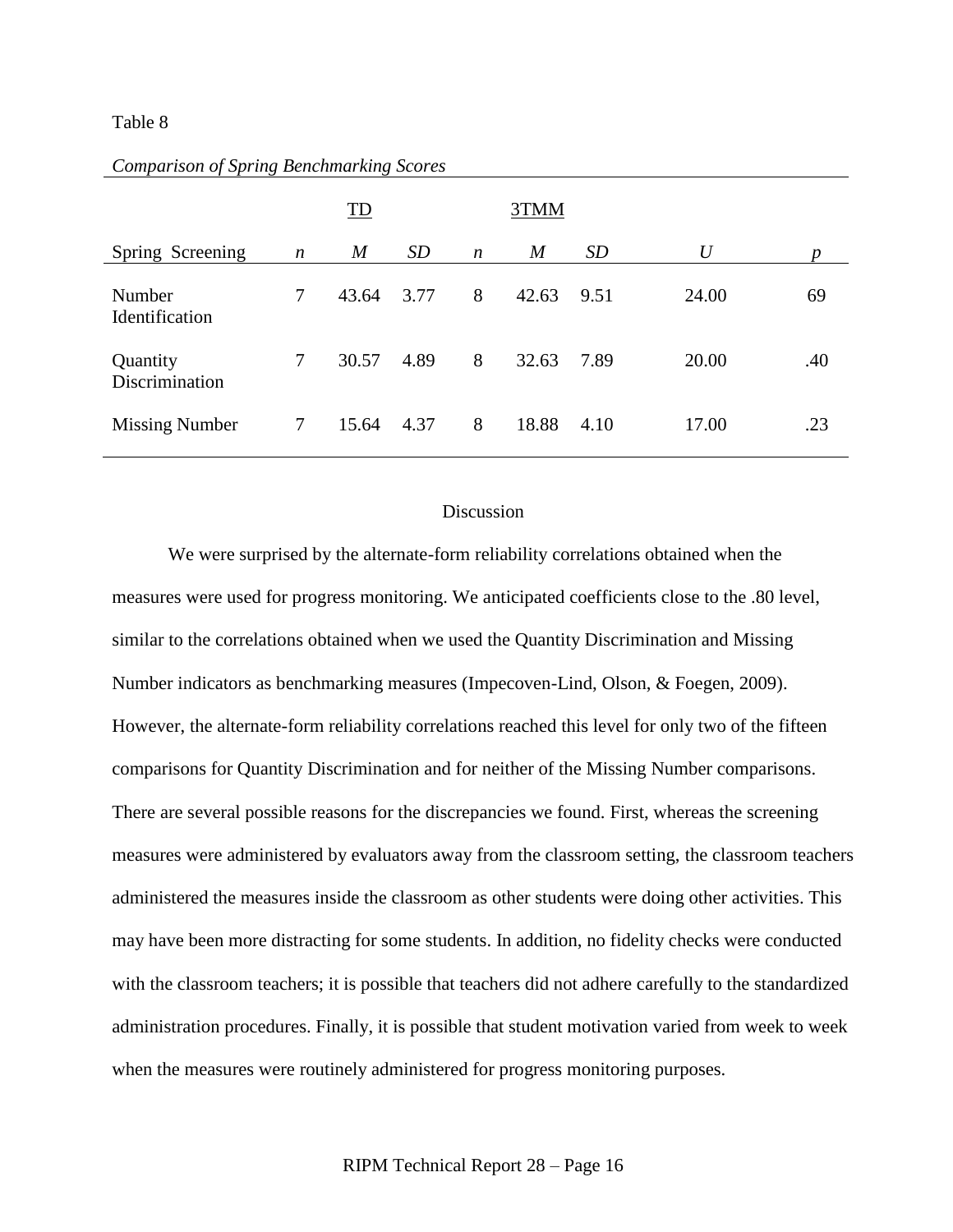### Table 8

|                            |                  | <b>TD</b>        |      |                  | 3TMM             |      |       |     |  |  |  |
|----------------------------|------------------|------------------|------|------------------|------------------|------|-------|-----|--|--|--|
| Spring Screening           | $\boldsymbol{n}$ | $\boldsymbol{M}$ | SD   | $\boldsymbol{n}$ | $\boldsymbol{M}$ | SD   | U     | n   |  |  |  |
| Number<br>Identification   | 7                | 43.64            | 3.77 | 8                | 42.63            | 9.51 | 24.00 | 69  |  |  |  |
| Quantity<br>Discrimination | 7                | 30.57            | 4.89 | 8                | 32.63            | 7.89 | 20.00 | .40 |  |  |  |
| <b>Missing Number</b>      | 7                | 15.64            | 4.37 | 8                | 18.88            | 4.10 | 17.00 | .23 |  |  |  |

### *Comparison of Spring Benchmarking Scores*

# Discussion

We were surprised by the alternate-form reliability correlations obtained when the measures were used for progress monitoring. We anticipated coefficients close to the .80 level, similar to the correlations obtained when we used the Quantity Discrimination and Missing Number indicators as benchmarking measures (Impecoven-Lind, Olson, & Foegen, 2009). However, the alternate-form reliability correlations reached this level for only two of the fifteen comparisons for Quantity Discrimination and for neither of the Missing Number comparisons. There are several possible reasons for the discrepancies we found. First, whereas the screening measures were administered by evaluators away from the classroom setting, the classroom teachers administered the measures inside the classroom as other students were doing other activities. This may have been more distracting for some students. In addition, no fidelity checks were conducted with the classroom teachers; it is possible that teachers did not adhere carefully to the standardized administration procedures. Finally, it is possible that student motivation varied from week to week when the measures were routinely administered for progress monitoring purposes.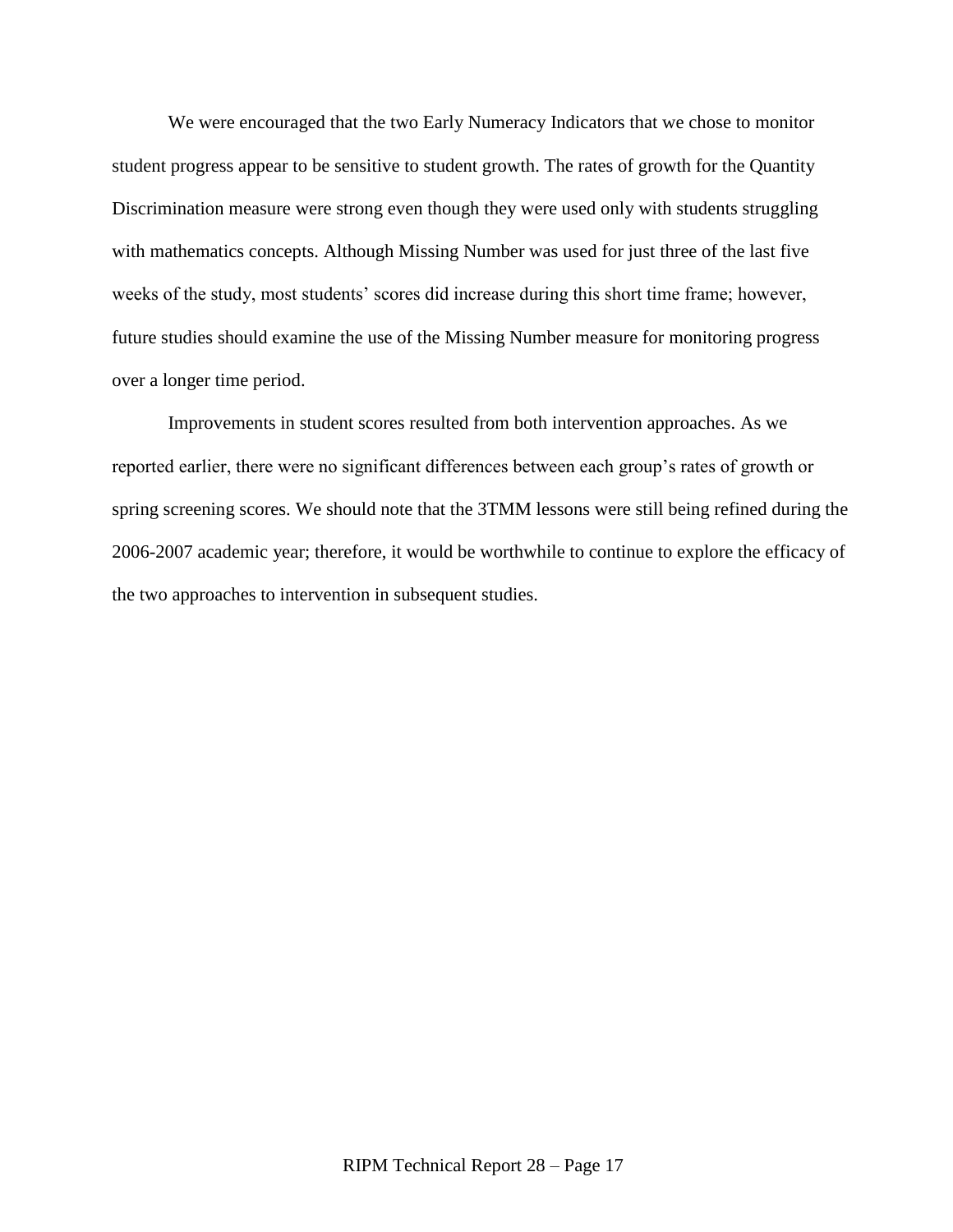We were encouraged that the two Early Numeracy Indicators that we chose to monitor student progress appear to be sensitive to student growth. The rates of growth for the Quantity Discrimination measure were strong even though they were used only with students struggling with mathematics concepts. Although Missing Number was used for just three of the last five weeks of the study, most students' scores did increase during this short time frame; however, future studies should examine the use of the Missing Number measure for monitoring progress over a longer time period.

Improvements in student scores resulted from both intervention approaches. As we reported earlier, there were no significant differences between each group's rates of growth or spring screening scores. We should note that the 3TMM lessons were still being refined during the 2006-2007 academic year; therefore, it would be worthwhile to continue to explore the efficacy of the two approaches to intervention in subsequent studies.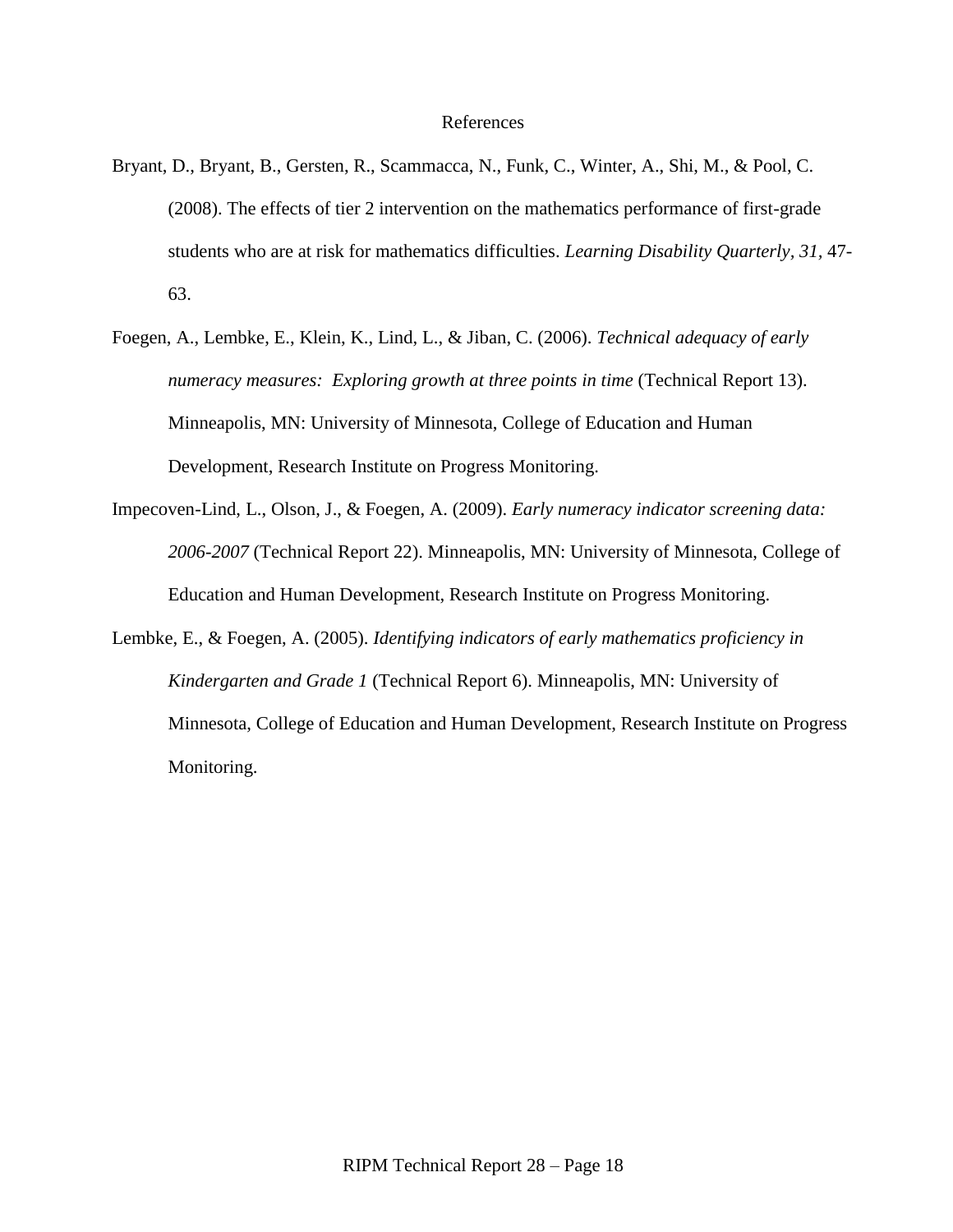### References

- Bryant, D., Bryant, B., Gersten, R., Scammacca, N., Funk, C., Winter, A., Shi, M., & Pool, C. (2008). The effects of tier 2 intervention on the mathematics performance of first-grade students who are at risk for mathematics difficulties. *Learning Disability Quarterly, 31,* 47- 63.
- Foegen, A., Lembke, E., Klein, K., Lind, L., & Jiban, C. (2006). *Technical adequacy of early numeracy measures: Exploring growth at three points in time (Technical Report 13).* Minneapolis, MN: University of Minnesota, College of Education and Human Development, Research Institute on Progress Monitoring.
- Impecoven-Lind, L., Olson, J., & Foegen, A. (2009). *Early numeracy indicator screening data: 2006-2007* (Technical Report 22). Minneapolis, MN: University of Minnesota, College of Education and Human Development, Research Institute on Progress Monitoring.
- Lembke, E., & Foegen, A. (2005). *Identifying indicators of early mathematics proficiency in Kindergarten and Grade 1* (Technical Report 6). Minneapolis, MN: University of Minnesota, College of Education and Human Development, Research Institute on Progress Monitoring.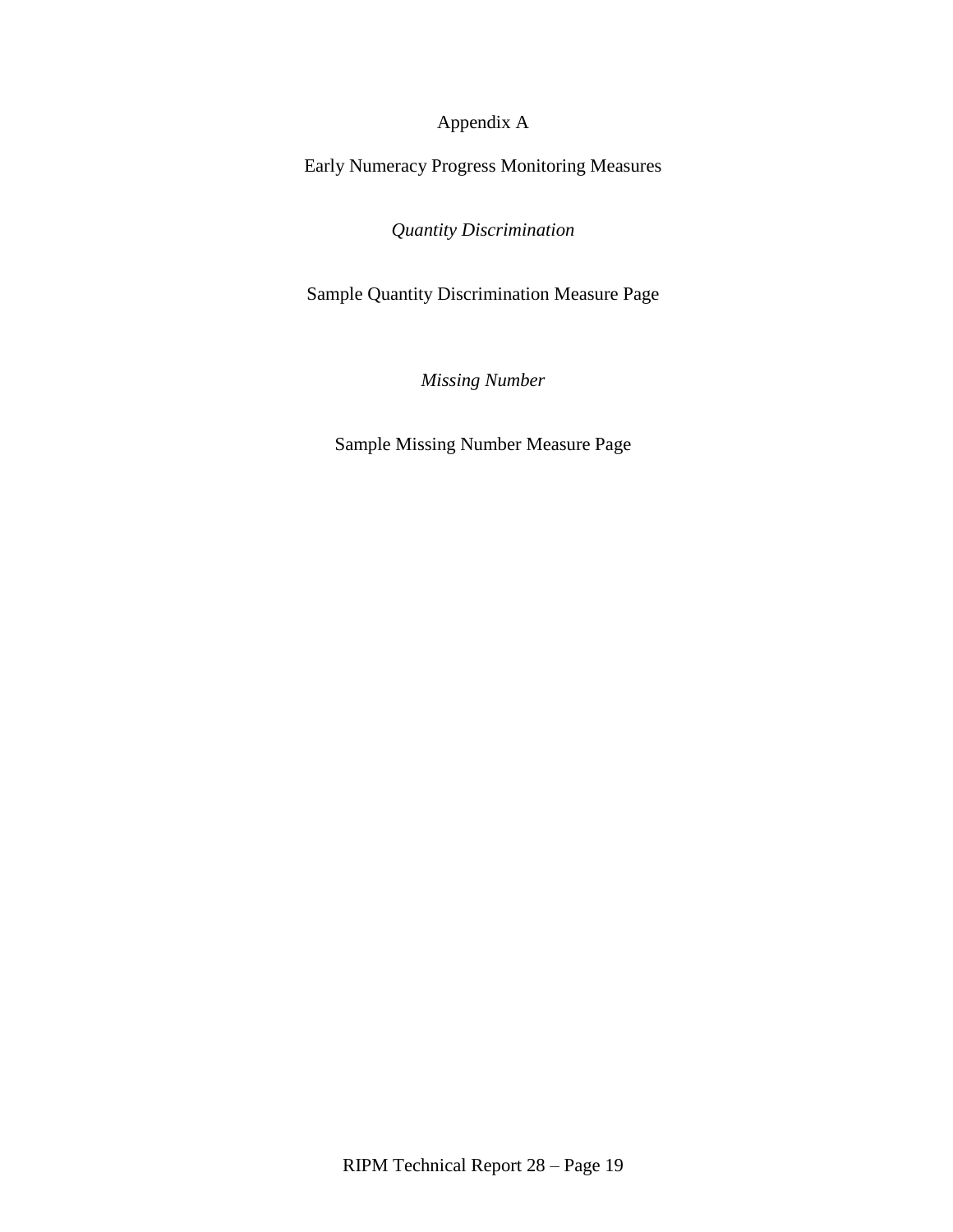Appendix A

Early Numeracy Progress Monitoring Measures

*Quantity Discrimination*

Sample Quantity Discrimination Measure Page

*Missing Number*

Sample Missing Number Measure Page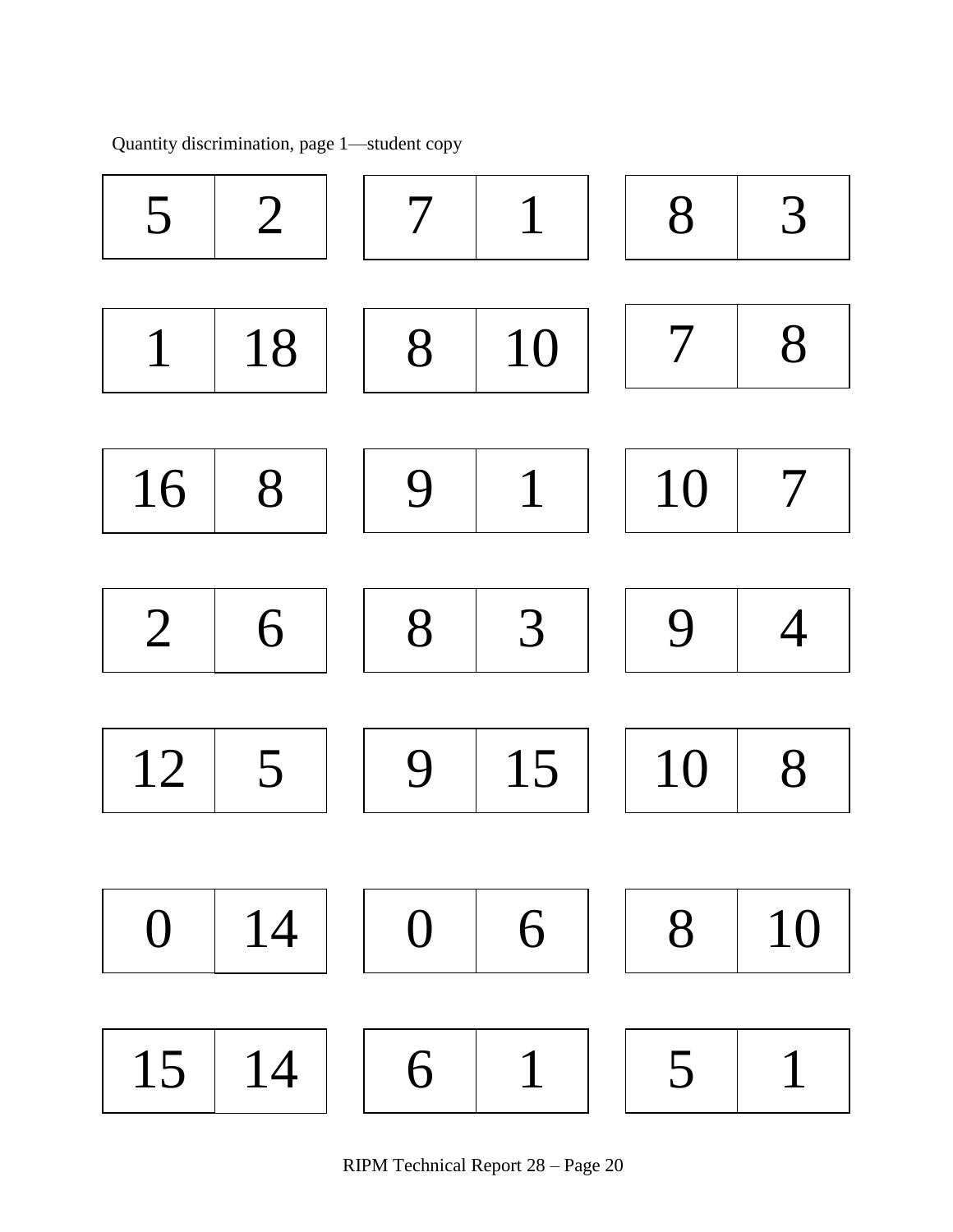

Quantity discrimination, page 1—student copy